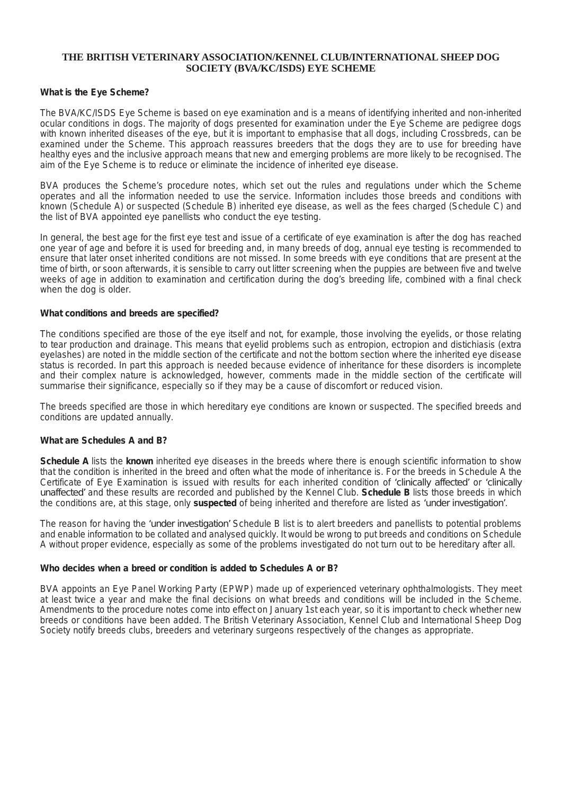# **THE BRITISH VETERINARY ASSOCIATION/KENNEL CLUB/INTERNATIONAL SHEEP DOG SOCIETY (BVA/KC/ISDS) EYE SCHEME**

## *What is the Eye Scheme?*

The BVA/KC/ISDS Eye Scheme is based on eye examination and is a means of identifying inherited and non-inherited ocular conditions in dogs. The majority of dogs presented for examination under the Eye Scheme are pedigree dogs with known inherited diseases of the eye, but it is important to emphasise that all dogs, including Crossbreds, can be examined under the Scheme. This approach reassures breeders that the dogs they are to use for breeding have healthy eyes and the inclusive approach means that new and emerging problems are more likely to be recognised. The *aim of the Eye Scheme is to reduce or eliminate the incidence of inherited eye disease.*

*BVA produces the Scheme's procedure notes, which set out the rules and regulations under which the Scheme* operates and all the information needed to use the service. Information includes those breeds and conditions with known (Schedule A) or suspected (Schedule B) inherited eye disease, as well as the fees charged (Schedule C) and *the list of BVA appointed eye panellists who conduct the eye testing.*

In general, the best age for the first eye test and issue of a certificate of eye examination is after the dog has reached one year of age and before it is used for breeding and, in many breeds of dog, annual eye testing is recommended to ensure that later onset inherited conditions are not missed. In some breeds with eye conditions that are present at the time of birth, or soon afterwards, it is sensible to carry out litter screening when the puppies are between five and twelve weeks of age in addition to examination and certification during the dog's breeding life, combined with a final check *when the dog is older.*

## *What conditions and breeds are specified?*

The conditions specified are those of the eye itself and not, for example, those involving the eyelids, or those relating to tear production and drainage. This means that evelid problems such as entropion, ectropion and distichiasis (extra evelashes) are noted in the middle section of the certificate and not the bottom section where the inherited eve disease status is recorded. In part this approach is needed because evidence of inheritance for these disorders is incomplete and their complex nature is acknowledged, however, comments made in the middle section of the certificate will *summarise their significance, especially so if they may be a cause of discomfort or reduced vision.*

The breeds specified are those in which hereditary eye conditions are known or suspected. The specified breeds and *conditions are updated annually.*

# *What are Schedules A and B?*

**Schedule A lists the known inherited eye diseases in the breeds where there is enough scientific information to show** that the condition is inherited in the breed and often what the mode of inheritance is. For the breeds in Schedule A the Certificate of Eye Examination is issued with results for each inherited condition of "clinically affected" or "clinically **unaffected** and these results are recorded and published by the Kennel Club. Schedule B lists those breeds in which the conditions are, at this stage, only suspected of being inherited and therefore are listed as "under investigation".

The reason for having the **'under investigation'** Schedule B list is to alert breeders and panellists to potential problems and enable information to be collated and analysed quickly. It would be wrong to put breeds and conditions on Schedule A without proper evidence, especially as some of the problems investigated do not turn out to be hereditary after all.

## *Who decides when a breed or condition is added to Schedules A or B?*

*BVA appoints an Eye Panel Working Party (EPWP) made up of experienced veterinary ophthalmologists. They meet* at least twice a year and make the final decisions on what breeds and conditions will be included in the Scheme. Amendments to the procedure notes come into effect on January 1st each year, so it is important to check whether new breeds or conditions have been added. The British Veterinary Association, Kennel Club and International Sheep Dog *Society notify breeds clubs, breeders and veterinary surgeons respectively of the changes as appropriate.*